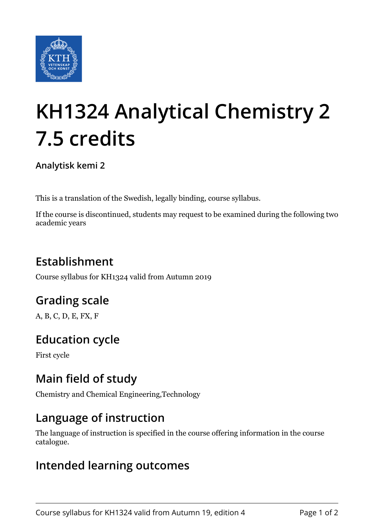

# **KH1324 Analytical Chemistry 2 7.5 credits**

**Analytisk kemi 2**

This is a translation of the Swedish, legally binding, course syllabus.

If the course is discontinued, students may request to be examined during the following two academic years

# **Establishment**

Course syllabus for KH1324 valid from Autumn 2019

# **Grading scale**

A, B, C, D, E, FX, F

# **Education cycle**

First cycle

### **Main field of study**

Chemistry and Chemical Engineering,Technology

#### **Language of instruction**

The language of instruction is specified in the course offering information in the course catalogue.

#### **Intended learning outcomes**